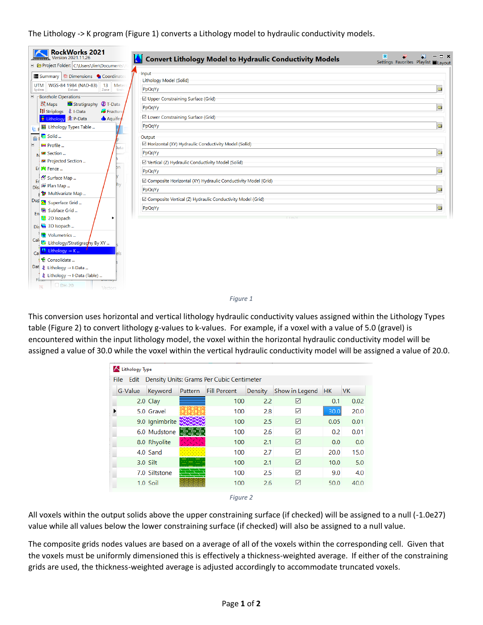The Lithology -> K program [\(Figure 1\)](#page-0-0) converts a Lithology model to hydraulic conductivity models.

| <b>RockWorks 2021</b><br>Version 2021.11.26                               | Convert Lithology Model to Hydraulic Conductivity Models        | ×<br>$\Box$ $\times$<br>Settings Favorites Playlist Layout |  |  |  |  |
|---------------------------------------------------------------------------|-----------------------------------------------------------------|------------------------------------------------------------|--|--|--|--|
| E @ Project Folder: C:\Users\Jim\Documents\                               |                                                                 |                                                            |  |  |  |  |
| <b>ill Summary</b> $\frac{16}{24}$ Dimensions ● Coordinates               | Input<br>Lithology Model (Solid)                                |                                                            |  |  |  |  |
| WGS-84 1984 (NAD-83)<br>Meter<br><b>UTM</b><br>13                         |                                                                 | $\bigoplus$                                                |  |  |  |  |
| Datum<br>System<br>Zone<br>Unit<br><b>Borehole Operations</b><br>$\equiv$ | PpQqYy                                                          |                                                            |  |  |  |  |
| <b>No</b> Stratigraphy <b>C</b> T-Data<br>22 Maps                         | <b>☑</b> Upper Constraining Surface (Grid)                      |                                                            |  |  |  |  |
| <b>III</b> Striplogs <b>主</b> I-Data<br>Fractur                           | PpQqYy                                                          | ò                                                          |  |  |  |  |
| Aquifer                                                                   | <b>E</b> Lower Constraining Surface (Grid)                      |                                                            |  |  |  |  |
| El Lithology Types Table                                                  | PpQqYy                                                          | $\oplus$                                                   |  |  |  |  |
| Solid                                                                     | Output                                                          |                                                            |  |  |  |  |
| E<br>$Prefile$<br>Jata                                                    | <b>E Horizontal (XY) Hydraulic Conductivity Model (Solid)</b>   |                                                            |  |  |  |  |
| <b>BE</b> Section                                                         | PpQqYy                                                          | $\oplus$                                                   |  |  |  |  |
| <b>32</b> Projected Section                                               | <b>√ Vertical (Z) Hydraulic Conductivity Model (Solid)</b>      |                                                            |  |  |  |  |
| ħn<br>Er <b>S</b> Fence                                                   | PpQqYy                                                          | $\bigcirc$                                                 |  |  |  |  |
| Surface Map<br>Er                                                         | □ Composite Horizontal (XY) Hydraulic Conductivity Model (Grid) |                                                            |  |  |  |  |
| Disk Plan Map                                                             | PpQqYy                                                          | $\oplus$                                                   |  |  |  |  |
| Multivariate Map                                                          |                                                                 |                                                            |  |  |  |  |
| Dup . Superface Grid                                                      | └ Composite Vertical (Z) Hydraulic Conductivity Model (Grid)    |                                                            |  |  |  |  |
| Subface Grid<br>En                                                        | PpQqYy                                                          | $\oplus$                                                   |  |  |  |  |
| 2D Isopach                                                                |                                                                 |                                                            |  |  |  |  |
| Dis 3D Isopach                                                            |                                                                 |                                                            |  |  |  |  |
| Volumetrics                                                               |                                                                 |                                                            |  |  |  |  |
| Call <b>L</b> Lithology/Stratigraphy By XY                                |                                                                 |                                                            |  |  |  |  |
| Lithology $\rightarrow$ K<br>Ca                                           |                                                                 |                                                            |  |  |  |  |
| Consolidate                                                               |                                                                 |                                                            |  |  |  |  |
| Dat $\triangleq$ Lithology $\rightarrow$ I-Data                           |                                                                 |                                                            |  |  |  |  |
| ま Lithology → I-Data (Table)<br>Fireen<br>$D_{DH-20}$<br>Vectors          |                                                                 |                                                            |  |  |  |  |
|                                                                           | Figure 1                                                        |                                                            |  |  |  |  |

<span id="page-0-0"></span>This conversion uses horizontal and vertical lithology hydraulic conductivity values assigned within the Lithology Types table [\(Figure 2\)](#page-0-1) to convert lithology g-values to k-values. For example, if a voxel with a value of 5.0 (gravel) is encountered within the input lithology model, the voxel within the horizontal hydraulic conductivity model will be assigned a value of 30.0 while the voxel within the vertical hydraulic conductivity model will be assigned a value of 20.0.

| K Lithology Type                                    |            |                |                   |                     |            |                |           |           |  |  |
|-----------------------------------------------------|------------|----------------|-------------------|---------------------|------------|----------------|-----------|-----------|--|--|
| File Edit Density Units: Grams Per Cubic Centimeter |            |                |                   |                     |            |                |           |           |  |  |
| G-Value                                             |            | Keyword        | Pattern           | <b>Fill Percent</b> | Density    | Show in Legend | <b>HK</b> | <b>VK</b> |  |  |
|                                                     |            | $2.0$ Clay     |                   | 100                 | 2.2        | ☑              | 0.1       | 0.02      |  |  |
|                                                     |            | 5.0 Gravel     |                   | 100                 | 2.8        | ✓              | 30.0      | 20.0      |  |  |
|                                                     |            | 9.0 Ignimbrite |                   | 100                 | 2.5        | ☑              | 0.05      | 0.01      |  |  |
|                                                     |            | 6.0 Mudstone   | $\equiv$ $\equiv$ | 100                 | 2.6        | ▽              | 0.2       | 0.01      |  |  |
|                                                     |            | 8.0 Rhyolite   |                   | 100                 | 2.1        | ☑              | 0.0       | 0.0       |  |  |
|                                                     |            | 4.0 Sand       |                   | 100                 | 2.7        | ▽              | 20.0      | 15.0      |  |  |
|                                                     | $3.0$ Silt |                |                   | 100                 | 2.1        | ☑              | 10.0      | 5.0       |  |  |
|                                                     |            | 7.0 Siltstone  |                   | 100                 | 2.5        | $\checkmark$   | 9.0       | 4.0       |  |  |
|                                                     |            | $1.0$ Soil     |                   | 100                 | 2.6        | ☑              | 50.0      | 40.0      |  |  |
|                                                     |            |                |                   |                     | $\sqrt{2}$ |                |           |           |  |  |



<span id="page-0-1"></span>All voxels within the output solids above the upper constraining surface (if checked) will be assigned to a null (-1.0e27) value while all values below the lower constraining surface (if checked) will also be assigned to a null value.

The composite grids nodes values are based on a average of all of the voxels within the corresponding cell. Given that the voxels must be uniformly dimensioned this is effectively a thickness-weighted average. If either of the constraining grids are used, the thickness-weighted average is adjusted accordingly to accommodate truncated voxels.